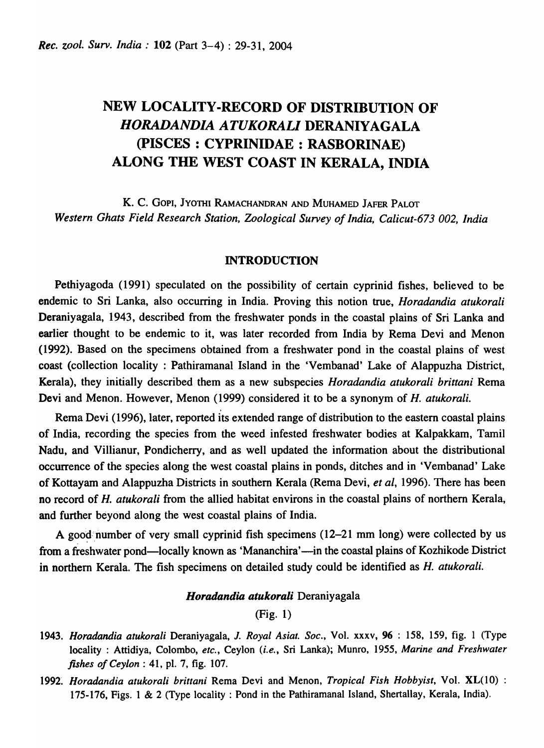# NEW LOCALITY-RECORD OF DISTRIBUTION OF *HORADANDIA ATUKORALI* DERANIYAGALA (pISCES : CYPRINIDAE : RASBORINAE) ALONG THE WEST COAST IN KERALA, INDIA

K. C. GOPI, ]YOTHI RAMACHANDRAN AND MUHAMED ]AFER PALOT *Western Ghats Field Research Station, Zoological Survey of India, Calicut-673* 002, *India* 

## INTRODUCTION

Pethiyagoda (1991) speculated on the possibility of certain cyprinid fishes, believed to be endemic to Sri Lanka, also occurring in India. Proving this notion true, *Horadandia atukorali*  Deraniyagala, 1943, described from the freshwater ponds in the coastal plains of Sri Lanka and earlier thought to be endemic to it, was later recorded from India by Rema Devi and Menon (1992). Based on the specimens obtained from a freshwater pond in the coastal plains of west coast (collection locality: Pathiramanal Island in the 'Vembanad' Lake of Alappuzha District, Kerala) , they initially described them as a new subspecies *Horadandia atukorali brittani* Rema Devi and Menon. However, Menon (1999) considered it to be a synonym of *H. atukorali.* 

Rema Devi (1996), later, reported its extended range of distribution to the eastern coastal plains of India, recording the species from the weed infested freshwater bodies at Kalpakkam, Tamil Nadu, and Villianur, Pondicherry, and as well updated the information about the distributional occurrence of the species along the west coastal plains in ponds, ditches and in 'Vembanad' Lake of Kottayam and Alappuzha Districts in southern Kerala (Rema Devi, *et al,* 1996). There has been no record of *H. atukorali* from the allied habitat environs in the coastal plains of northern Kerala, and further beyond along the west coastal plains of India.

A good number of very small cyprinid fish specimens  $(12-21 \text{ mm long})$  were collected by us from a freshwater pond—locally known as 'Mananchira'—in the coastal plains of Kozhikode District in northern Kerala. The fish specimens on detailed study could be identified as *H. atukorali.* 

#### *Horadandia atukorali* Deraniyagala

## (Fig. 1)

- *1943. Horadandia atukorali* Deraniyagala, J. *Royal Asiat. Soc.,* Vol. xxxv, 96 : 158, 159, fig. 1 (Type locality: Attidiya, Colombo, *etc.,* Ceylon *(i.e.,* Sri Lanka); Munro, 1955, *Marine and Freshwater fishes of Ceylon* : 41, pI. 7, fig. 107.
- 1992. *Horadandia atukorali brittani* Rema Devi and Menon, *Tropical Fish Hobbyist*, Vol. XL(10) : 175-176, Figs. 1 & 2 (Type locality: Pond in the Pathiramanal Island, Shertallay, Kerala, India).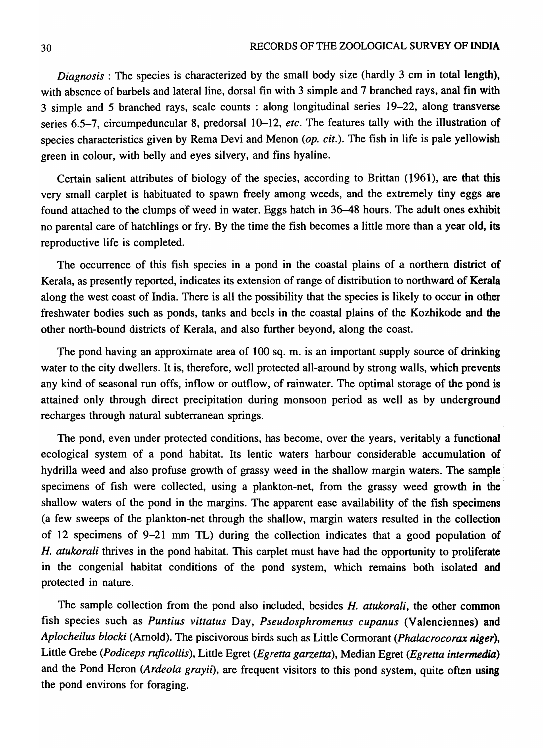*Diagnosis*: The species is characterized by the small body size (hardly 3 cm in total length), with absence of barbels and lateral line, dorsal fin with 3 simple and 7 branched rays, anal fin with 3 simple and 5 branched rays, scale counts : along longitudinal series 19-22, along transverse series 6.5-7, circumpeduncular 8, predorsal 10-12, *etc*. The features tally with the illustration of species characteristics given by Rema Devi and Menon *(op. cit.).* The fish in life is pale yellowish green in colour, with belly and eyes silvery, and fins hyaline.

Certain salient attributes of biology of the species, according to Brittan (l961), are that this very small carplet is habituated to spawn freely among weeds, and the extremely tiny eggs are found attached to the clumps of weed in water. Eggs hatch in 36-48 hours. The adult ones exhibit no parental care of hatchlings or fry. By the time the fish becomes a little more than a year old, its reproductive life is completed.

The occurrence of this fish species in a pond in the coastal plains of a northern district of Kerala, as presently reported, indicates its extension of range of distribution to northward of Kerala along the west coast of India. There is all the possibility that the species is likely to occur in other freshwater bodies such as ponds, tanks and beels in the coastal plains of the Kozhikode and the other north-bound districts of Kerala, and also further beyond, along the coast.

The pond having an approximate area of 100 sq. m. is an important supply source of drinking water to the city dwellers. It is, therefore, well protected all-around by strong walls, which prevents any kind of seasonal run offs, inflow or outflow, of rainwater. The optimal storage of the pond is attained' only through direct precipitation during monsoon period as well as by underground recharges through natural subterranean springs.

The pond, even under protected conditions, has become, over the years, veritably a functional ecological system of a pond habitat. Its lentic waters harbour considerable accumulation of hydrilla weed and also profuse growth of grassy weed in the shallow margin waters. The sample: specimens of fish were collected, using a plankton-net, from the grassy weed growth in the' shallow waters of the pond in the margins. The apparent ease availability of the fish specimens (a few sweeps of the plankton-net through the shallow, margin waters resulted in the collection of 12 specimens of 9-21 mm TL) during the collection indicates that a good population of *H. atukorali* thrives in the pond habitat. This carplet must have had the opportunity to proliferate in the congenial habitat conditions of the pond system, which remains both isolated and protected in nature.

The sample collection from the pond also included, besides *H. atukorali,* the other common fish species such as *Puntius vittatus* Day, *Pseudosphromenus cupanus* (Valenciennes) and *Aplocheilus blocki (Arnold). The piscivorous birds such as Little Cormorant (Phalacrocorax niger),* Little Grebe *(Podiceps rujicoliis),* Little Egret *(Egretta garzetta),* Median Egret *(Egretta intermedia)*  and the Pond Heron (Ardeola grayii), are frequent visitors to this pond system, quite often using the pond environs for foraging.